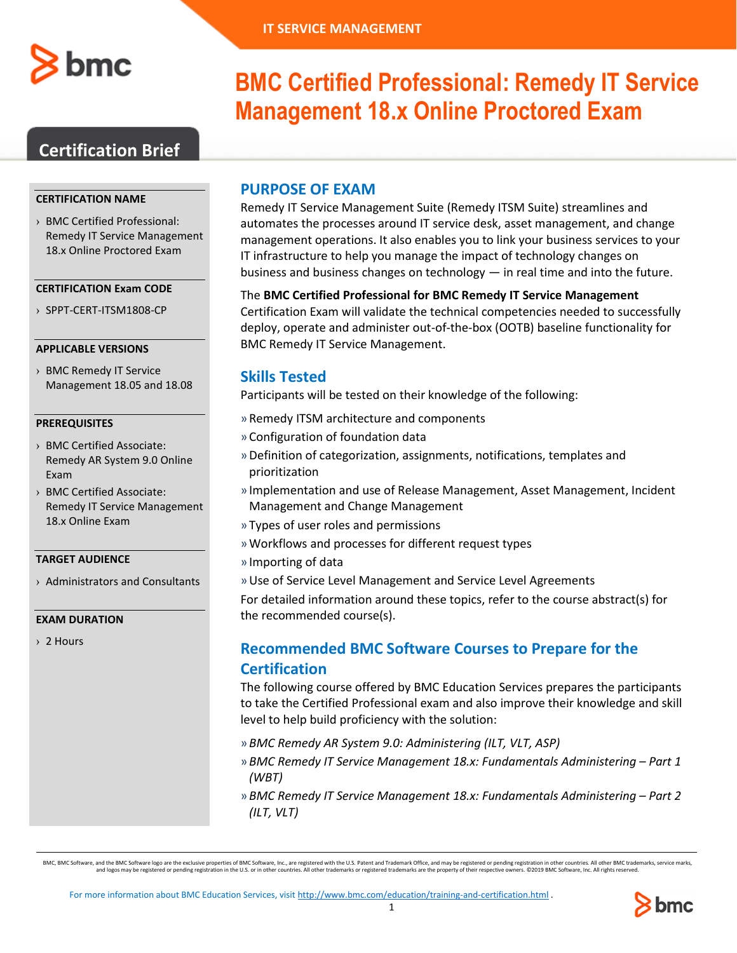

# **BMC Certified Professional: Remedy IT Service Management 18.x Online Proctored Exam**

## **Certification Brief**

### **CERTIFICATION NAME**

› BMC Certified Professional: Remedy IT Service Management 18.x Online Proctored Exam

#### **CERTIFICATION Exam CODE**

› SPPT-CERT-ITSM1808-CP

### **APPLICABLE VERSIONS**

› BMC Remedy IT Service Management 18.05 and 18.08

### **PREREQUISITES**

- › BMC Certified Associate: Remedy AR System 9.0 Online Exam
- › BMC Certified Associate: Remedy IT Service Management 18.x Online Exam

### **TARGET AUDIENCE**

› Administrators and Consultants

#### **EXAM DURATION**

› 2 Hours

### **PURPOSE OF EXAM**

Remedy IT Service Management Suite (Remedy ITSM Suite) streamlines and automates the processes around IT service desk, asset management, and change management operations. It also enables you to link your business services to your IT infrastructure to help you manage the impact of technology changes on business and business changes on technology — in real time and into the future.

The **BMC Certified Professional for BMC Remedy IT Service Management** Certification Exam will validate the technical competencies needed to successfully deploy, operate and administer out-of-the-box (OOTB) baseline functionality for BMC Remedy IT Service Management.

## **Skills Tested**

Participants will be tested on their knowledge of the following:

- » Remedy ITSM architecture and components
- » Configuration of foundation data
- »Definition of categorization, assignments, notifications, templates and prioritization
- » Implementation and use of Release Management, Asset Management, Incident Management and Change Management
- » Types of user roles and permissions
- »Workflows and processes for different request types
- » Importing of data
- »Use of Service Level Management and Service Level Agreements

For detailed information around these topics, refer to the course abstract(s) for the recommended course(s).

## **Recommended BMC Software Courses to Prepare for the Certification**

The following course offered by BMC Education Services prepares the participants to take the Certified Professional exam and also improve their knowledge and skill level to help build proficiency with the solution:

- » *BMC Remedy AR System 9.0: Administering (ILT, VLT, ASP)*
- » *BMC Remedy IT Service Management 18.x: Fundamentals Administering – Part 1 (WBT)*
- » *BMC Remedy IT Service Management 18.x: Fundamentals Administering – Part 2 (ILT, VLT)*

BMC, BMC Software, and the BMC Software logo are the exclusive properties of BMC Software, Inc., are registered with the U.S. Patent and Trademark Office, and may be registered or pending registration in other countries. A and logos may be registered or pending registration in the U.S. or in other countries. All other trademarks or registered trademarks are the property of their respective owners. ©2019 BMC Software, Inc. All rights reserved.

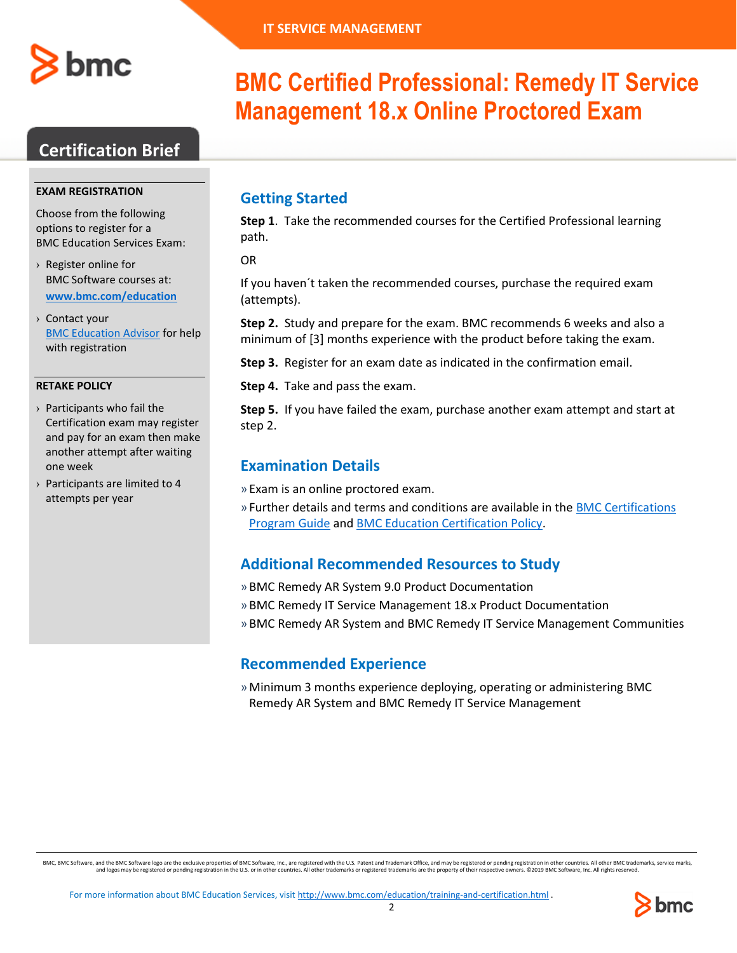

## **Certification Brief**

#### **EXAM REGISTRATION**

Choose from the following options to register for a BMC Education Services Exam:

- › Register online for BMC Software courses at: **[www.bmc.com/education](http://www.bmc.com/education)**
- › Contact your [BMC Education Advisor](https://www.bmc.com/forms/ALL-EduAdvisor-ContactMe.html) for help with registration

#### **RETAKE POLICY**

- › Participants who fail the Certification exam may register and pay for an exam then make another attempt after waiting one week
- › Participants are limited to 4 attempts per year

# **BMC Certified Professional: Remedy IT Service Management 18.x Online Proctored Exam**

## **Getting Started**

**Step 1**. Take the recommended courses for the Certified Professional learning path.

OR

If you haven´t taken the recommended courses, purchase the required exam (attempts).

**Step 2.** Study and prepare for the exam. BMC recommends 6 weeks and also a minimum of [3] months experience with the product before taking the exam.

**Step 3.** Register for an exam date as indicated in the confirmation email.

**Step 4.** Take and pass the exam.

**Step 5.** If you have failed the exam, purchase another exam attempt and start at step 2.

### **Examination Details**

» Exam is an online proctored exam.

» Further details and terms and conditions are available in th[e BMC Certifications](http://documents.bmc.com/products/documents/39/36/463936/463936.pdf)  [Program Guide](http://documents.bmc.com/products/documents/39/36/463936/463936.pdf) and [BMC Education Certification Policy.](https://www.bmc.com/content/dam/bmc/education/BMC_Education_Certification_Policy.pdf)

### **Additional Recommended Resources to Study**

- » BMC Remedy AR System 9.0 Product Documentation
- » BMC Remedy IT Service Management 18.x Product Documentation
- » BMC Remedy AR System and BMC Remedy IT Service Management Communities

## **Recommended Experience**

»Minimum 3 months experience deploying, operating or administering BMC Remedy AR System and BMC Remedy IT Service Management

BMC, BMC Software, and the BMC Software logo are the exclusive properties of BMC Software, Inc., are registered with the U.S. Patent and Trademark Office, and may be registered or pending registration in other countries. A and logos may be registered or pending registration in the U.S. or in other countries. All other trademarks or registered trademarks are the property of their respective owners. ©2019 BMC Software, Inc. All rights reserved.